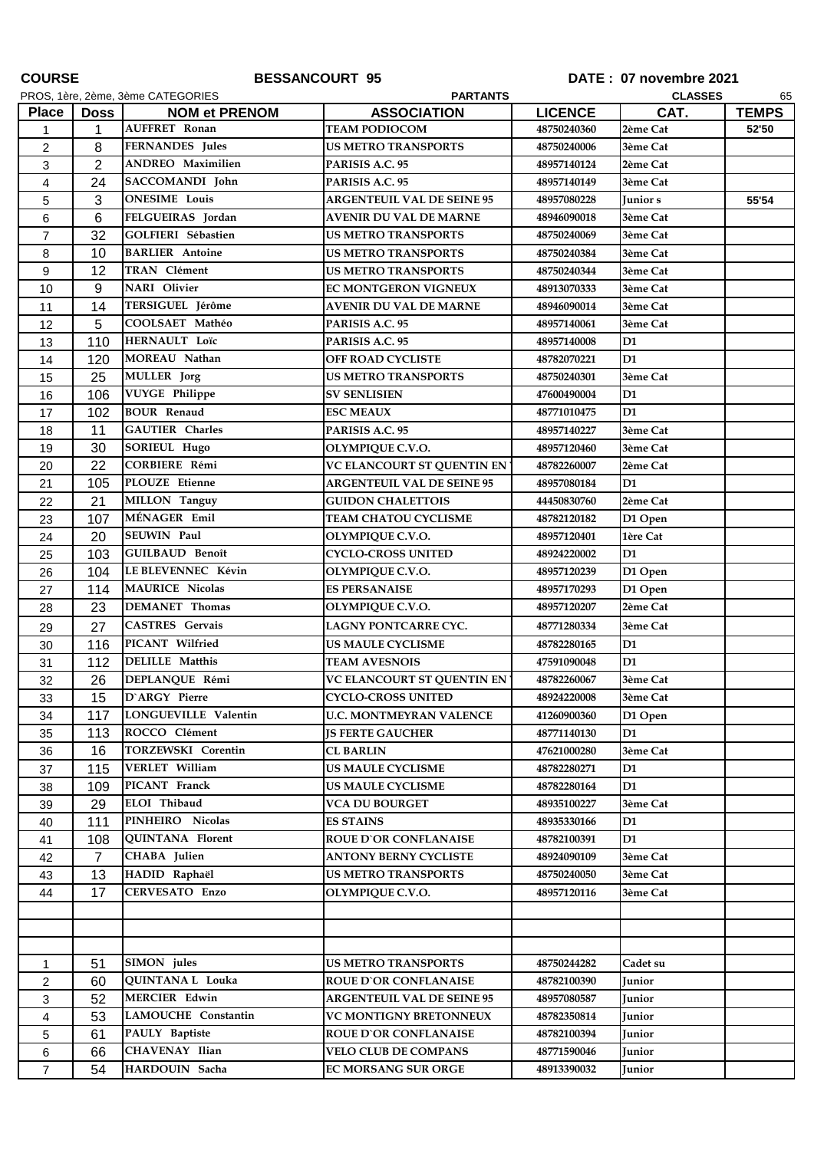| <b>COURSE</b>  |                |                                            | <b>BESSANCOURT 95</b>                                          |                            | DATE: 07 novembre 2021 |              |
|----------------|----------------|--------------------------------------------|----------------------------------------------------------------|----------------------------|------------------------|--------------|
|                |                | PROS, 1ère, 2ème, 3ème CATEGORIES          | <b>PARTANTS</b>                                                |                            | <b>CLASSES</b>         | 65           |
| <b>Place</b>   | Doss           | <b>NOM et PRENOM</b>                       | <b>ASSOCIATION</b>                                             | <b>LICENCE</b>             | CAT.                   | <b>TEMPS</b> |
| 1              | 1              | <b>AUFFRET Ronan</b>                       | <b>TEAM PODIOCOM</b>                                           | 48750240360                | 2ème Cat               | 52'50        |
| $\overline{c}$ | 8              | <b>FERNANDES</b> Jules                     | <b>US METRO TRANSPORTS</b>                                     | 48750240006                | 3ème Cat               |              |
| 3              | 2              | <b>ANDREO</b> Maximilien                   | PARISIS A.C. 95                                                | 48957140124                | 2ème Cat               |              |
| 4              | 24             | SACCOMANDI John                            | PARISIS A.C. 95                                                | 48957140149                | 3ème Cat               |              |
| 5              | 3              | <b>ONESIME</b> Louis                       | <b>ARGENTEUIL VAL DE SEINE 95</b>                              | 48957080228                | Junior s               | 55'54        |
| 6              | 6              | FELGUEIRAS Jordan                          | <b>AVENIR DU VAL DE MARNE</b>                                  | 48946090018                | 3ème Cat               |              |
| $\overline{7}$ | 32             | <b>GOLFIERI Sébastien</b>                  | <b>US METRO TRANSPORTS</b>                                     | 48750240069                | 3ème Cat               |              |
| 8              | 10             | <b>BARLIER</b> Antoine                     | <b>US METRO TRANSPORTS</b>                                     | 48750240384                | 3ème Cat               |              |
| 9              | 12             | TRAN Clément                               | <b>US METRO TRANSPORTS</b>                                     | 48750240344                | 3ème Cat               |              |
| 10             | 9              | <b>NARI</b> Olivier                        | <b>EC MONTGERON VIGNEUX</b>                                    | 48913070333                | 3ème Cat               |              |
| 11             | 14             | TERSIGUEL Jérôme                           | AVENIR DU VAL DE MARNE                                         | 48946090014                | 3ème Cat               |              |
| 12             | 5              | COOLSAET Mathéo                            | PARISIS A.C. 95                                                | 48957140061                | 3ème Cat               |              |
| 13             | 110            | HERNAULT Loïc                              | PARISIS A.C. 95                                                | 48957140008                | D1                     |              |
| 14             | 120            | MOREAU Nathan                              | <b>OFF ROAD CYCLISTE</b>                                       | 48782070221                | D <sub>1</sub>         |              |
| 15             | 25             | <b>MULLER</b> Jorg                         | <b>US METRO TRANSPORTS</b>                                     | 48750240301                | 3ème Cat               |              |
| 16             | 106            | <b>VUYGE Philippe</b>                      | <b>SV SENLISIEN</b>                                            | 47600490004                | D1                     |              |
| 17             | 102            | <b>BOUR Renaud</b>                         | <b>ESC MEAUX</b>                                               | 48771010475                | D1                     |              |
| 18             | 11             | <b>GAUTIER</b> Charles                     | PARISIS A.C. 95                                                | 48957140227                | 3ème Cat               |              |
| 19             | 30             | <b>SORIEUL Hugo</b>                        | <b>OLYMPIQUE C.V.O.</b>                                        | 48957120460                | 3ème Cat               |              |
| 20             | 22             | <b>CORBIERE Rémi</b>                       | VC ELANCOURT ST QUENTIN EN                                     | 48782260007                | 2ème Cat               |              |
| 21             | 105            | <b>PLOUZE</b> Etienne                      | <b>ARGENTEUIL VAL DE SEINE 95</b>                              | 48957080184                | D <sub>1</sub>         |              |
| 22             | 21             | <b>MILLON</b> Tanguy                       | <b>GUIDON CHALETTOIS</b>                                       | 44450830760                | 2ème Cat               |              |
| 23             | 107            | MÉNAGER Emil                               | <b>TEAM CHATOU CYCLISME</b>                                    | 48782120182                | D1 Open                |              |
| 24             | 20             | <b>SEUWIN Paul</b>                         | OLYMPIQUE C.V.O.                                               | 48957120401                | 1ère Cat               |              |
| 25             | 103            | <b>GUILBAUD Benoît</b>                     | <b>CYCLO-CROSS UNITED</b>                                      | 48924220002                | D1                     |              |
| 26             | 104            | LE BLEVENNEC Kévin                         | <b>OLYMPIQUE C.V.O.</b>                                        | 48957120239                | D1 Open                |              |
| 27             | 114            | <b>MAURICE Nicolas</b>                     | <b>ES PERSANAISE</b>                                           | 48957170293                | D1 Open                |              |
| 28             | 23             | <b>DEMANET</b> Thomas                      | OLYMPIQUE C.V.O.                                               | 48957120207                | 2ème Cat               |              |
|                |                | <b>CASTRES</b> Gervais                     | LAGNY PONTCARRE CYC.                                           | 48771280334                | 3ème Cat               |              |
| 29             | 27             | PICANT Wilfried                            |                                                                |                            |                        |              |
| 30             | 116<br>112     | <b>DELILLE</b> Matthis                     | <b>US MAULE CYCLISME</b><br><b>TEAM AVESNOIS</b>               | 48782280165<br>47591090048 | D1<br>D <sub>1</sub>   |              |
| 31             |                | DEPLANQUE Rémi                             |                                                                | 48782260067                |                        |              |
| 32             | 26             | D'ARGY Pierre                              | <b>VC ELANCOURT ST QUENTIN EN</b><br><b>CYCLO-CROSS UNITED</b> |                            | 3ème Cat               |              |
| 33             | 15             | LONGUEVILLE Valentin                       |                                                                | 48924220008                | 3ème Cat               |              |
| 34             | 117            |                                            | <b>U.C. MONTMEYRAN VALENCE</b>                                 | 41260900360                | D1 Open                |              |
| 35             | 113            | ROCCO Clément<br><b>TORZEWSKI</b> Corentin | <b>IS FERTE GAUCHER</b>                                        | 48771140130                | D1                     |              |
| 36             | 16             |                                            | <b>CL BARLIN</b>                                               | 47621000280                | 3ème Cat               |              |
| 37             | 115            | VERLET William                             | <b>US MAULE CYCLISME</b>                                       | 48782280271                | D <sub>1</sub>         |              |
| 38             | 109            | PICANT Franck                              | <b>US MAULE CYCLISME</b>                                       | 48782280164                | D1                     |              |
| 39             | 29             | ELOI Thibaud                               | <b>VCA DU BOURGET</b>                                          | 48935100227                | 3ème Cat               |              |
| 40             | 111            | PINHEIRO Nicolas                           | <b>ES STAINS</b>                                               | 48935330166                | D1                     |              |
| 41             | 108            | <b>QUINTANA</b> Florent                    | <b>ROUE D'OR CONFLANAISE</b>                                   | 48782100391                | D1                     |              |
| 42             | $\overline{7}$ | CHABA Julien                               | <b>ANTONY BERNY CYCLISTE</b>                                   | 48924090109                | 3ème Cat               |              |
| 43             | 13             | HADID Raphaël                              | <b>US METRO TRANSPORTS</b>                                     | 48750240050                | 3ème Cat               |              |
| 44             | 17             | CERVESATO Enzo                             | <b>OLYMPIQUE C.V.O.</b>                                        | 48957120116                | 3ème Cat               |              |
|                |                |                                            |                                                                |                            |                        |              |
|                |                |                                            |                                                                |                            |                        |              |
|                |                |                                            |                                                                |                            |                        |              |
| $\mathbf{1}$   | 51             | SIMON jules                                | <b>US METRO TRANSPORTS</b>                                     | 48750244282                | Cadet su               |              |
| $\overline{2}$ | 60             | <b>QUINTANAL Louka</b>                     | <b>ROUE D'OR CONFLANAISE</b>                                   | 48782100390                | Junior                 |              |
| 3              | 52             | <b>MERCIER Edwin</b>                       | <b>ARGENTEUIL VAL DE SEINE 95</b>                              | 48957080587                | Junior                 |              |
| 4              | 53             | <b>LAMOUCHE Constantin</b>                 | VC MONTIGNY BRETONNEUX                                         | 48782350814                | Junior                 |              |
| 5              | 61             | PAULY Baptiste                             | <b>ROUE D'OR CONFLANAISE</b>                                   | 48782100394                | Junior                 |              |
| 6              | 66             | CHAVENAY Ilian                             | <b>VELO CLUB DE COMPANS</b>                                    | 48771590046                | Junior                 |              |
| $\overline{7}$ | 54             | HARDOUIN Sacha                             | <b>EC MORSANG SUR ORGE</b>                                     | 48913390032                | Junior                 |              |